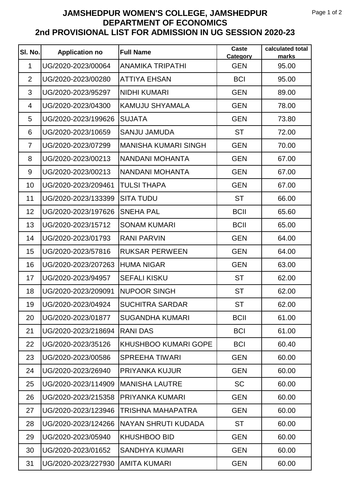## **JAMSHEDPUR WOMEN'S COLLEGE, JAMSHEDPUR DEPARTMENT OF ECONOMICS 2nd PROVISIONAL LIST FOR ADMISSION IN UG SESSION 2020-23**

| SI. No.        | <b>Application no</b> | <b>Full Name</b>            | Caste<br>Category | calculated total<br>marks |
|----------------|-----------------------|-----------------------------|-------------------|---------------------------|
| $\mathbf{1}$   | UG/2020-2023/00064    | <b>ANAMIKA TRIPATHI</b>     | <b>GEN</b>        | 95.00                     |
| 2              | UG/2020-2023/00280    | <b>ATTIYA EHSAN</b>         | <b>BCI</b>        | 95.00                     |
| 3              | UG/2020-2023/95297    | <b>NIDHI KUMARI</b>         | <b>GEN</b>        | 89.00                     |
| $\overline{4}$ | UG/2020-2023/04300    | <b>KAMUJU SHYAMALA</b>      | <b>GEN</b>        | 78.00                     |
| 5              | UG/2020-2023/199626   | <b>SUJATA</b>               | <b>GEN</b>        | 73.80                     |
| 6              | UG/2020-2023/10659    | <b>SANJU JAMUDA</b>         | <b>ST</b>         | 72.00                     |
| $\overline{7}$ | UG/2020-2023/07299    | <b>MANISHA KUMARI SINGH</b> | <b>GEN</b>        | 70.00                     |
| 8              | UG/2020-2023/00213    | <b>NANDANI MOHANTA</b>      | <b>GEN</b>        | 67.00                     |
| 9              | UG/2020-2023/00213    | NANDANI MOHANTA             | <b>GEN</b>        | 67.00                     |
| 10             | UG/2020-2023/209461   | <b>TULSI THAPA</b>          | <b>GEN</b>        | 67.00                     |
| 11             | UG/2020-2023/133399   | <b>SITA TUDU</b>            | <b>ST</b>         | 66.00                     |
| 12             | UG/2020-2023/197626   | <b>SNEHA PAL</b>            | <b>BCII</b>       | 65.60                     |
| 13             | UG/2020-2023/15712    | <b>SONAM KUMARI</b>         | <b>BCII</b>       | 65.00                     |
| 14             | UG/2020-2023/01793    | <b>RANI PARVIN</b>          | <b>GEN</b>        | 64.00                     |
| 15             | UG/2020-2023/57816    | <b>RUKSAR PERWEEN</b>       | <b>GEN</b>        | 64.00                     |
| 16             | UG/2020-2023/207263   | <b>HUMA NIGAR</b>           | <b>GEN</b>        | 63.00                     |
| 17             | UG/2020-2023/94957    | <b>SEFALI KISKU</b>         | <b>ST</b>         | 62.00                     |
| 18             | UG/2020-2023/209091   | <b>NUPOOR SINGH</b>         | <b>ST</b>         | 62.00                     |
| 19             | UG/2020-2023/04924    | <b>SUCHITRA SARDAR</b>      | <b>ST</b>         | 62.00                     |
| 20             | UG/2020-2023/01877    | <b>SUGANDHA KUMARI</b>      | <b>BCII</b>       | 61.00                     |
| 21             | UG/2020-2023/218694   | <b>RANIDAS</b>              | <b>BCI</b>        | 61.00                     |
| 22             | UG/2020-2023/35126    | <b>KHUSHBOO KUMARI GOPE</b> | <b>BCI</b>        | 60.40                     |
| 23             | UG/2020-2023/00586    | <b>SPREEHA TIWARI</b>       | <b>GEN</b>        | 60.00                     |
| 24             | UG/2020-2023/26940    | <b>PRIYANKA KUJUR</b>       | <b>GEN</b>        | 60.00                     |
| 25             | UG/2020-2023/114909   | <b>MANISHA LAUTRE</b>       | <b>SC</b>         | 60.00                     |
| 26             | UG/2020-2023/215358   | <b>PRIYANKA KUMARI</b>      | <b>GEN</b>        | 60.00                     |
| 27             | UG/2020-2023/123946   | TRISHNA MAHAPATRA           | <b>GEN</b>        | 60.00                     |
| 28             | UG/2020-2023/124266   | <b>NAYAN SHRUTI KUDADA</b>  | <b>ST</b>         | 60.00                     |
| 29             | UG/2020-2023/05940    | <b>KHUSHBOO BID</b>         | <b>GEN</b>        | 60.00                     |
| 30             | UG/2020-2023/01652    | <b>SANDHYA KUMARI</b>       | <b>GEN</b>        | 60.00                     |
| 31             | UG/2020-2023/227930   | <b>AMITA KUMARI</b>         | <b>GEN</b>        | 60.00                     |